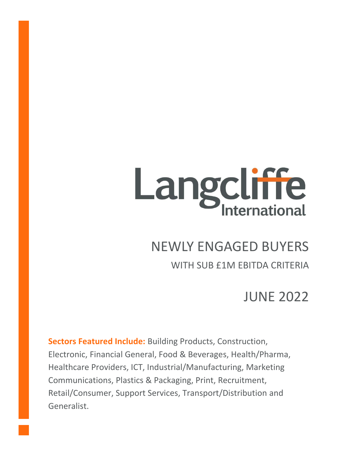# Langcliffe

# NEWLY ENGAGED BUYERS

WITH SUB £1M EBITDA CRITERIA

JUNE 2022

**Sectors Featured Include:** Building Products, Construction, Electronic, Financial General, Food & Beverages, Health/Pharma, Healthcare Providers, ICT, Industrial/Manufacturing, Marketing Communications, Plastics & Packaging, Print, Recruitment, Retail/Consumer, Support Services, Transport/Distribution and Generalist.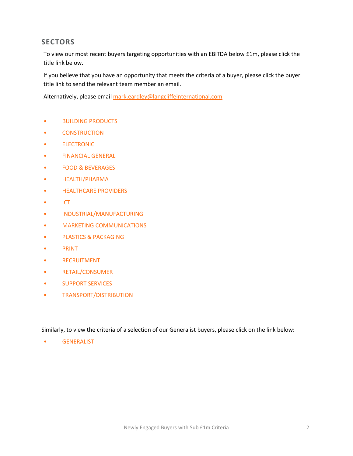# **SECTORS**

To view our most recent buyers targeting opportunities with an EBITDA below £1m, please click the title link below.

If you believe that you have an opportunity that meets the criteria of a buyer, please click the buyer title link to send the relevant team member an email.

Alternatively, please email [mark.eardley@langcliffeinternational.com](mailto:mark.eardley@langcliffeinternational.com?subject=Newly%20Engaged%20Buyers%20-%20Sub%20£1m%20EBITDA%20Criteria%20-%20June%202022)

- [BUILDING PRODUCTS](#page-2-0)
- [CONSTRUCTION](#page-3-0)
- [ELECTRONIC](#page-4-0)
- [FINANCIAL GENERAL](#page-5-0)
- [FOOD & BEVERAGES](#page-6-0)
- [HEALTH/PHARMA](#page-7-0)
- [HEALTHCARE PROVIDERS](#page-8-0)
- [ICT](#page-10-0)
- [INDUSTRIAL/MANUFACTURING](#page-13-0)
- [MARKETING COMMUNICATIONS](#page-14-0)
- [PLASTICS & PACKAGING](#page-15-0)
- [PRINT](#page-16-0)
- [RECRUITMENT](#page-17-0)
- [RETAIL/CONSUMER](#page-18-0)
- [SUPPORT SERVICES](#page-21-0)
- [TRANSPORT/DISTRIBUTION](#page-22-0)

Similarly, to view the criteria of a selection of our Generalist buyers, please click on the link below:

• [GENERALIST](#page-24-0)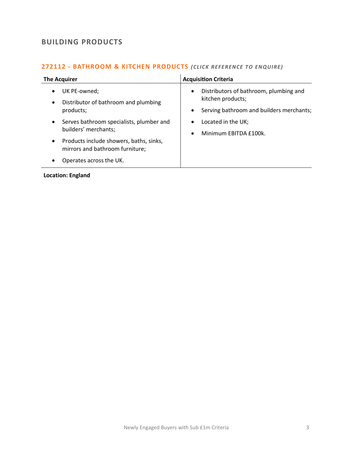# <span id="page-2-0"></span>**BUILDING PRODUCTS**

#### **272112 - [BATHROOM & KITCHEN PRODUCTS](mailto:emily.mcdermott@langcliffeinternational.com?subject=272112%20-%20Bathroom%20and%20Kitchen%20Products)** *(CLICK REFE RENCE TO ENQUIRE)*

| <b>The Acquirer</b> |                                                                            | <b>Acquisition Criteria</b> |                                                                                                         |
|---------------------|----------------------------------------------------------------------------|-----------------------------|---------------------------------------------------------------------------------------------------------|
| $\bullet$           | UK PE-owned;<br>Distributor of bathroom and plumbing<br>products;          | $\bullet$                   | Distributors of bathroom, plumbing and<br>kitchen products;<br>Serving bathroom and builders merchants; |
| $\bullet$           | Serves bathroom specialists, plumber and<br>builders' merchants;           | ٠<br>$\bullet$              | Located in the UK;<br>Minimum EBITDA £100k.                                                             |
| $\bullet$           | Products include showers, baths, sinks,<br>mirrors and bathroom furniture; |                             |                                                                                                         |
|                     | Operates across the UK.                                                    |                             |                                                                                                         |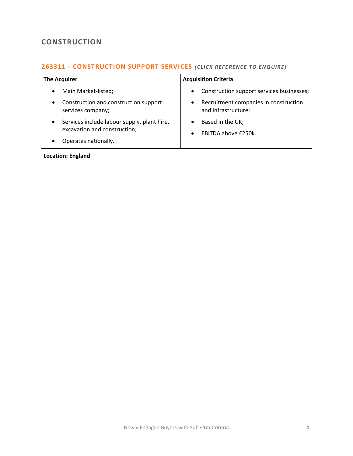# <span id="page-3-0"></span>**CONSTRUCTION**

## **263311 - [CONSTRUCTION SUPPORT SERVICES](mailto:jack.hutchinson@langcliffeinternational.com?subject=263311%20-%20Construction%20Support%20Services)** *(CLICK REFE RENCE TO EN QUIRE )*

| <b>The Acquirer</b>                                                                      | <b>Acquisition Criteria</b>                                               |  |
|------------------------------------------------------------------------------------------|---------------------------------------------------------------------------|--|
| Main Market-listed;<br>$\bullet$                                                         | Construction support services businesses;<br>$\bullet$                    |  |
| Construction and construction support<br>$\bullet$<br>services company;                  | Recruitment companies in construction<br>$\bullet$<br>and infrastructure; |  |
| Services include labour supply, plant hire,<br>$\bullet$<br>excavation and construction; | Based in the UK;<br>EBITDA above £250k.                                   |  |
| Operates nationally.<br>$\bullet$                                                        |                                                                           |  |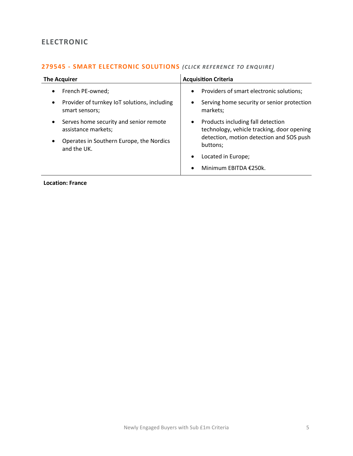# <span id="page-4-0"></span>**ELECTRONIC**

### **279545 - [SMART ELECTRONIC SOLUTIONS](mailto:charlotte.keane@langcliffeinternational.com?subject=279545%20-%20Smart%20Electronic%20Solutions)** *(CLICK REFE RENCE TO E NQUIRE )*

| The Acquirer                                                                | <b>Acquisition Criteria</b>                                                                  |  |
|-----------------------------------------------------------------------------|----------------------------------------------------------------------------------------------|--|
| French PE-owned;<br>$\bullet$                                               | Providers of smart electronic solutions;<br>$\bullet$                                        |  |
| Provider of turnkey IoT solutions, including<br>$\bullet$<br>smart sensors; | Serving home security or senior protection<br>٠<br>markets;                                  |  |
| Serves home security and senior remote<br>$\bullet$<br>assistance markets;  | Products including fall detection<br>$\bullet$<br>technology, vehicle tracking, door opening |  |
| Operates in Southern Europe, the Nordics<br>$\bullet$<br>and the UK.        | detection, motion detection and SOS push<br>buttons;                                         |  |
|                                                                             | Located in Europe;<br>٠                                                                      |  |
|                                                                             | Minimum EBITDA €250k.                                                                        |  |

**Location: France**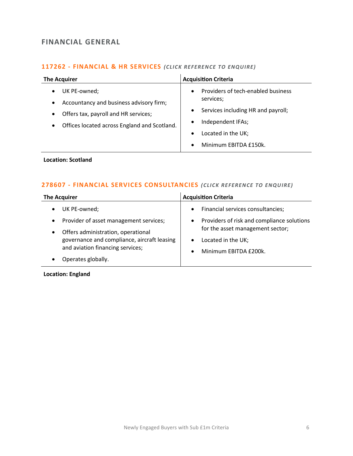# <span id="page-5-0"></span>**FINANCIAL GENERAL**

# 117262 - **[FINANCIAL & HR SERVICES](mailto:maryia.amrez@langcliffeinternational.com?subject=117262%20-%20Financial%20and%20HR%20Services)** (CLICK REFERENCE TO ENQUIRE)

| <b>The Acquirer</b>                                                                                                                                                                    | <b>Acquisition Criteria</b>                                                                                                                                                                                   |  |
|----------------------------------------------------------------------------------------------------------------------------------------------------------------------------------------|---------------------------------------------------------------------------------------------------------------------------------------------------------------------------------------------------------------|--|
| UK PE-owned;<br>Accountancy and business advisory firm;<br>$\bullet$<br>Offers tax, payroll and HR services;<br>$\bullet$<br>Offices located across England and Scotland.<br>$\bullet$ | Providers of tech-enabled business<br>$\bullet$<br>services;<br>Services including HR and payroll;<br>Independent IFAs;<br>$\bullet$<br>Located in the UK;<br>$\bullet$<br>Minimum EBITDA £150k.<br>$\bullet$ |  |
|                                                                                                                                                                                        |                                                                                                                                                                                                               |  |

#### **Location: Scotland**

#### **278607 - [FINANCIAL SERVICES CONSULTANCIES](mailto:maryia.amrez@langcliffeinternational.com?subject=278607%20-%20Financial%20Services%20Consultancies)** (CLICK REFERENCE TO ENQUIRE)

| <b>The Acquirer</b>                                                                                                                                                                                   | <b>Acquisition Criteria</b>                                                                                                                                                                                            |  |
|-------------------------------------------------------------------------------------------------------------------------------------------------------------------------------------------------------|------------------------------------------------------------------------------------------------------------------------------------------------------------------------------------------------------------------------|--|
| UK PE-owned;<br>Provider of asset management services;<br>Offers administration, operational<br>governance and compliance, aircraft leasing<br>and aviation financing services;<br>Operates globally. | Financial services consultancies;<br>$\bullet$<br>Providers of risk and compliance solutions<br>$\bullet$<br>for the asset management sector;<br>Located in the UK;<br>$\bullet$<br>Minimum EBITDA £200k.<br>$\bullet$ |  |
|                                                                                                                                                                                                       |                                                                                                                                                                                                                        |  |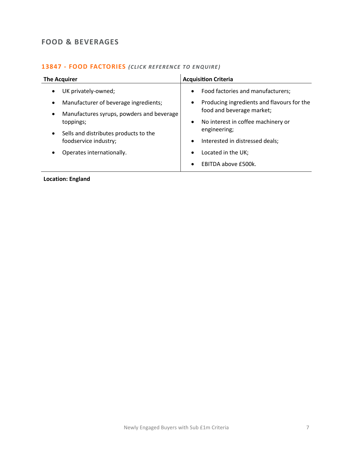# <span id="page-6-0"></span>**FOOD & BEVERAGES**

#### 13847 - **[FOOD FACTORIES](mailto:joanna.hughes@langcliffeinternational.com?subject=13847%20-%20Food%20Factories)** (CLICK REFERENCE TO ENQUIRE)

| <b>The Acquirer</b>                                    | <b>Acquisition Criteria</b>                             |  |
|--------------------------------------------------------|---------------------------------------------------------|--|
| UK privately-owned;<br>$\bullet$                       | Food factories and manufacturers;<br>$\bullet$          |  |
| Manufacturer of beverage ingredients;<br>$\bullet$     | Producing ingredients and flavours for the<br>$\bullet$ |  |
| Manufactures syrups, powders and beverage<br>$\bullet$ | food and beverage market;                               |  |
| toppings;                                              | No interest in coffee machinery or<br>$\bullet$         |  |
| Sells and distributes products to the<br>$\bullet$     | engineering;                                            |  |
| foodservice industry;                                  | Interested in distressed deals;<br>$\bullet$            |  |
| Operates internationally.                              | Located in the UK;<br>$\bullet$                         |  |
|                                                        | EBITDA above £500k.<br>$\bullet$                        |  |
|                                                        |                                                         |  |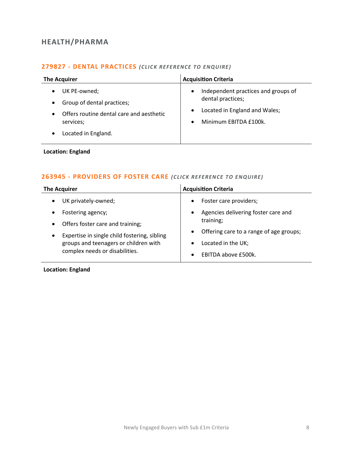# <span id="page-7-0"></span>**HEALTH/PHARMA**

#### **279827 - [DENTAL PRACTICES](mailto:emily.mcdermott@langcliffeinternational.com?subject=279827%20-%20Dental%20Practices)** *(CLICK RE FERE NCE TO ENQUIRE)*

| <b>The Acquirer</b>                                                                                                        | <b>Acquisition Criteria</b>                                                                                                                               |  |
|----------------------------------------------------------------------------------------------------------------------------|-----------------------------------------------------------------------------------------------------------------------------------------------------------|--|
| UK PE-owned;<br>Group of dental practices;<br>Offers routine dental care and aesthetic<br>services;<br>Located in England. | Independent practices and groups of<br>$\bullet$<br>dental practices;<br>Located in England and Wales;<br>$\bullet$<br>Minimum EBITDA £100k.<br>$\bullet$ |  |

#### **Location: England**

#### **263945 - [PROVIDERS OF FOSTER CARE](mailto:eloka.philip@langcliffeinternational.com?subject=263945%20-%20Providers%20of%20Foster%20Care)** *(CLICK RE FEREN CE TO EN QUIRE)*

| <b>The Acquirer</b>                                       | <b>Acquisition Criteria</b>                          |  |
|-----------------------------------------------------------|------------------------------------------------------|--|
| UK privately-owned;                                       | Foster care providers;<br>$\bullet$                  |  |
| Fostering agency;                                         | Agencies delivering foster care and<br>$\bullet$     |  |
| Offers foster care and training;                          | training;                                            |  |
| Expertise in single child fostering, sibling<br>$\bullet$ | Offering care to a range of age groups;<br>$\bullet$ |  |
| groups and teenagers or children with                     | Located in the UK;                                   |  |
| complex needs or disabilities.                            | EBITDA above £500k.<br>$\bullet$                     |  |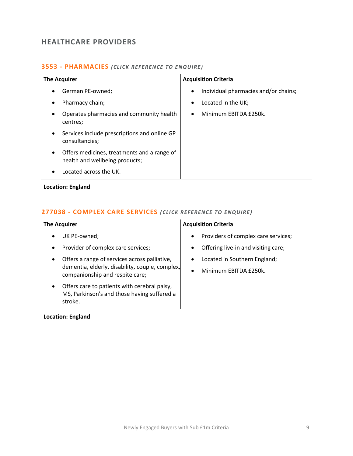# <span id="page-8-0"></span>**HEALTHCARE PROVIDERS**

#### **3553 - [PHARMACIES](mailto:maryia.amrez@langcliffeinternational.com?subject=3553%20-%20Pharmacies)** *(CLICK REFE RENCE TO E NQUIRE )*

| <b>The Acquirer</b>    |                                                                               | <b>Acquisition Criteria</b> |                                                            |
|------------------------|-------------------------------------------------------------------------------|-----------------------------|------------------------------------------------------------|
| $\bullet$<br>$\bullet$ | German PE-owned;<br>Pharmacy chain;                                           | $\bullet$<br>$\bullet$      | Individual pharmacies and/or chains;<br>Located in the UK; |
| $\bullet$              | Operates pharmacies and community health<br>centres;                          | $\bullet$                   | Minimum EBITDA £250k.                                      |
| $\bullet$              | Services include prescriptions and online GP<br>consultancies;                |                             |                                                            |
| $\bullet$              | Offers medicines, treatments and a range of<br>health and wellbeing products; |                             |                                                            |
|                        | Located across the UK.                                                        |                             |                                                            |

#### **Location: England**

#### **277038 - [COMPLEX CARE SERVICES](mailto:emily.mcdermott@langcliffeinternational.com?subject=277038%20-%20Complex%20Care%20Services)** *(CLICK REFEREN CE TO ENQUIRE )*

| <b>The Acquirer</b>                                                                                                 | <b>Acquisition Criteria</b>         |  |
|---------------------------------------------------------------------------------------------------------------------|-------------------------------------|--|
| UK PE-owned;                                                                                                        | Providers of complex care services; |  |
| $\bullet$                                                                                                           | ٠                                   |  |
| Provider of complex care services;                                                                                  | Offering live-in and visiting care; |  |
| $\bullet$                                                                                                           | ٠                                   |  |
| Offers a range of services across palliative,                                                                       | Located in Southern England;        |  |
| $\bullet$                                                                                                           | ٠                                   |  |
| dementia, elderly, disability, couple, complex,                                                                     | Minimum EBITDA £250k.               |  |
| companionship and respite care;                                                                                     | $\bullet$                           |  |
| Offers care to patients with cerebral palsy,<br>$\bullet$<br>MS, Parkinson's and those having suffered a<br>stroke. |                                     |  |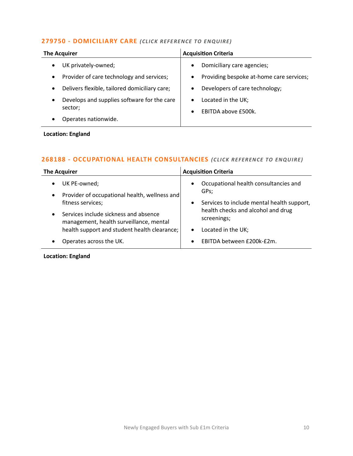#### **279750 - [DOMICILIARY CARE](mailto:eloka.philip@langcliffeinternational.com?subject=279750%20-%20Domiciliary%20Care)** *(CLICK REFE RENCE TO ENQUIRE)*

| <b>The Acquirer</b>                                      | <b>Acquisition Criteria</b>                           |  |
|----------------------------------------------------------|-------------------------------------------------------|--|
| UK privately-owned;                                      | Domiciliary care agencies;<br>$\bullet$               |  |
| Provider of care technology and services;                | Providing bespoke at-home care services;<br>$\bullet$ |  |
| Delivers flexible, tailored domiciliary care;            | Developers of care technology;<br>$\bullet$           |  |
| Develops and supplies software for the care<br>$\bullet$ | Located in the UK;<br>$\bullet$                       |  |
| sector;                                                  | EBITDA above £500k.<br>$\bullet$                      |  |
| Operates nationwide.                                     |                                                       |  |

**Location: England**

# **268188 - [OCCUPATIONAL HEALTH CONSULTANCIES](mailto:millie.maddocks@langcliffeinternational.com?subject=268188%20-%20Occupational%20Health%20Consultancies)** *(CLICK RE FERENCE TO ENQUIRE)*

| <b>The Acquirer</b>                                                                           | <b>Acquisition Criteria</b>                                |  |
|-----------------------------------------------------------------------------------------------|------------------------------------------------------------|--|
| UK PE-owned;<br>$\bullet$                                                                     | Occupational health consultancies and<br>$\bullet$<br>GPs; |  |
| Provider of occupational health, wellness and<br>$\bullet$<br>fitness services;               | Services to include mental health support,<br>$\bullet$    |  |
| Services include sickness and absence<br>$\bullet$<br>management, health surveillance, mental | health checks and alcohol and drug<br>screenings;          |  |
| health support and student health clearance;                                                  | Located in the UK;<br>$\bullet$                            |  |
| Operates across the UK.<br>٠                                                                  | EBITDA between £200k-£2m.<br>$\bullet$                     |  |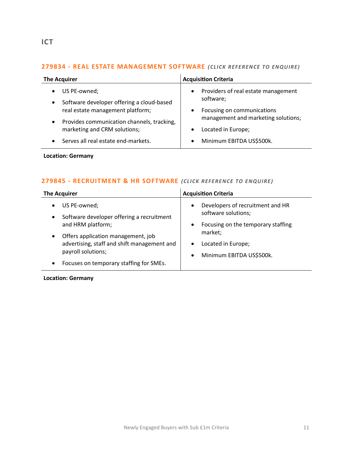#### <span id="page-10-0"></span>**279834 - [REAL ESTATE MANAGEMENT SOFTWARE](mailto:george.davies@langcliffeinternational.com?subject=279834%20-%20Real%20Estate%20Management%20Software)** *(CLICK REFE RENCE TO ENQUIRE)*

| <b>The Acquirer</b>                                                                 | <b>Acquisition Criteria</b>                                   |
|-------------------------------------------------------------------------------------|---------------------------------------------------------------|
| US PE-owned;<br>$\bullet$<br>Software developer offering a cloud-based<br>$\bullet$ | Providers of real estate management<br>$\bullet$<br>software; |
| real estate management platform;                                                    | Focusing on communications<br>$\bullet$                       |
| Provides communication channels, tracking,<br>$\bullet$                             | management and marketing solutions;                           |
| marketing and CRM solutions;                                                        | Located in Europe;<br>$\bullet$                               |
| Serves all real estate end-markets.<br>$\bullet$                                    | Minimum EBITDA US\$500k.<br>$\bullet$                         |

#### **Location: Germany**

#### **279845 - [RECRUITMENT & HR SOFTWARE](mailto:george.davies@langcliffeinternational.com?subject=279845%20-%20Recruitment%20and%20HR%20Software)** *(CLICK REFE RENCE TO E NQUIRE )*

| <b>The Acquirer</b>                                                                                                                                | <b>Acquisition Criteria</b>                                                                                             |
|----------------------------------------------------------------------------------------------------------------------------------------------------|-------------------------------------------------------------------------------------------------------------------------|
| US PE-owned;<br>Software developer offering a recruitment<br>and HRM platform;                                                                     | Developers of recruitment and HR<br>$\bullet$<br>software solutions;<br>Focusing on the temporary staffing<br>$\bullet$ |
| Offers application management, job<br>advertising, staff and shift management and<br>payroll solutions;<br>Focuses on temporary staffing for SMEs. | market;<br>Located in Europe;<br>٠<br>Minimum EBITDA US\$500k.<br>$\bullet$                                             |

#### **Location: Germany**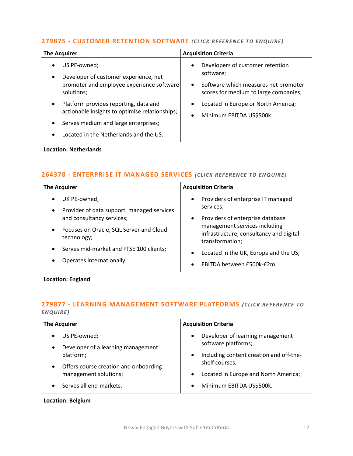#### **279875 - [CUSTOMER RETENTION SOFTWARE](mailto:george.davies@langcliffeinternational.com?subject=279875%20-%20Customer%20Retention%20Software)** *(CLICK REFEREN CE TO ENQUIRE)*

| <b>The Acquirer</b>                                                                                                                                                                                      | <b>Acquisition Criteria</b>                                                                                                                              |
|----------------------------------------------------------------------------------------------------------------------------------------------------------------------------------------------------------|----------------------------------------------------------------------------------------------------------------------------------------------------------|
| US PE-owned;<br>$\bullet$<br>Developer of customer experience, net<br>$\bullet$<br>promoter and employee experience software<br>solutions;                                                               | Developers of customer retention<br>$\bullet$<br>software;<br>Software which measures net promoter<br>$\bullet$<br>scores for medium to large companies; |
| Platform provides reporting, data and<br>$\bullet$<br>actionable insights to optimise relationships;<br>Serves medium and large enterprises;<br>٠<br>Located in the Netherlands and the US.<br>$\bullet$ | Located in Europe or North America;<br>$\bullet$<br>Minimum EBITDA US\$500k.<br>$\bullet$                                                                |

#### **Location: Netherlands**

#### **264378 - [ENTERPRISE IT MANAGED SERVICES](mailto:millie.maddocks@langcliffeinternational.com?subject=264378%20-%20Enterprise%20IT%20Managed%20Services)** *(CLICK REFE RENCE TO EN QUIRE )*

| <b>The Acquirer</b>                                                                                                                                                                                                                                 | <b>Acquisition Criteria</b>                                                                                                                                                                                                                                |
|-----------------------------------------------------------------------------------------------------------------------------------------------------------------------------------------------------------------------------------------------------|------------------------------------------------------------------------------------------------------------------------------------------------------------------------------------------------------------------------------------------------------------|
| UK PE-owned;<br>Provider of data support, managed services<br>$\bullet$<br>and consultancy services;<br>Focuses on Oracle, SQL Server and Cloud<br>$\bullet$<br>technology;<br>Serves mid-market and FTSE 100 clients;<br>Operates internationally. | Providers of enterprise IT managed<br>$\bullet$<br>services;<br>Providers of enterprise database<br>٠<br>management services including<br>infrastructure, consultancy and digital<br>transformation;<br>Located in the UK, Europe and the US;<br>$\bullet$ |
|                                                                                                                                                                                                                                                     | EBITDA between £500k-£2m.<br>$\bullet$                                                                                                                                                                                                                     |

#### **Location: England**

#### **279877 - [LEARNING MANAGEMENT SOFTWARE PLATFORMS](mailto:george.davies@langcliffeinternational.com?subject=279877%20-%20Learning%20Management%20Software%20Platforms)** *(CLICK RE FERENCE TO ENQUIRE )*

| <b>The Acquirer</b>                                             | <b>Acquisition Criteria</b>                               |
|-----------------------------------------------------------------|-----------------------------------------------------------|
| US PE-owned;<br>Developer of a learning management<br>$\bullet$ | Developer of learning management<br>software platforms;   |
| platform;<br>Offers course creation and onboarding<br>$\bullet$ | Including content creation and off-the-<br>shelf courses; |
| management solutions;                                           | Located in Europe and North America;                      |
| Serves all end-markets.                                         | Minimum EBITDA US\$500k.                                  |

#### **Location: Belgium**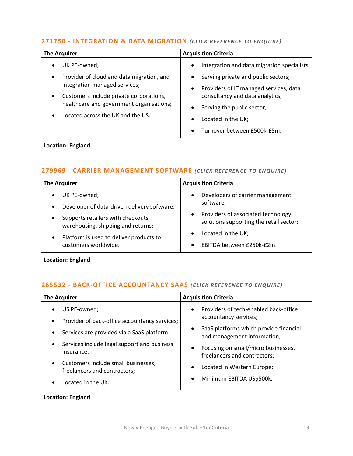#### **271750 - [INTEGRATION & DATA MIGRATION](mailto:emily.mcdermott@langcliffeinternational.com?subject=271750%20-%20Integration%20and%20Data%20Migration)** *(CLICK RE FERENCE TO ENQUIRE)*

| <b>The Acquirer</b>                                                                   | <b>Acquisition Criteria</b>                                                            |
|---------------------------------------------------------------------------------------|----------------------------------------------------------------------------------------|
| UK PE-owned;                                                                          | Integration and data migration specialists;<br>$\bullet$                               |
| Provider of cloud and data migration, and<br>$\bullet$                                | Serving private and public sectors;<br>$\bullet$                                       |
| integration managed services;<br>Customers include private corporations,<br>$\bullet$ | Providers of IT managed services, data<br>$\bullet$<br>consultancy and data analytics; |
| healthcare and government organisations;                                              | Serving the public sector;<br>$\bullet$                                                |
| Located across the UK and the US.                                                     | Located in the UK;<br>$\bullet$                                                        |
|                                                                                       | Turnover between £500k-£5m.<br>$\bullet$                                               |

#### **Location: England**

#### **279969 - [CARRIER MANAGEMENT SOFTWARE](mailto:millie.maddocks@langcliffeinternational.com?subject=279969%20-%20Carrier%20Management%20Software)** (CLICK REFERENCE TO ENQUIRE)

| <b>The Acquirer</b>                                                                   | <b>Acquisition Criteria</b>                                                                |
|---------------------------------------------------------------------------------------|--------------------------------------------------------------------------------------------|
| UK PE-owned;<br>$\bullet$<br>Developer of data-driven delivery software;<br>$\bullet$ | Developers of carrier management<br>$\bullet$<br>software;                                 |
| Supports retailers with checkouts,<br>$\bullet$<br>warehousing, shipping and returns; | Providers of associated technology<br>$\bullet$<br>solutions supporting the retail sector; |
| Platform is used to deliver products to<br>$\bullet$<br>customers worldwide.          | Located in the UK;<br>$\bullet$<br>EBITDA between £250k-£2m.<br>$\bullet$                  |

**Location: England**

#### **265532 - [BACK-OFFICE ACCOUNTANCY SAAS](mailto:george.davies@langcliffeinternational.com?subject=265532%20-%20Back-Office%20Accountancy%20SaaS) (CLICK REFERENCE TO ENQUIRE)**

| <b>The Acquirer</b>                                                              | <b>Acquisition Criteria</b>                                                        |
|----------------------------------------------------------------------------------|------------------------------------------------------------------------------------|
| US PE-owned;<br>Provider of back-office accountancy services;<br>$\bullet$       | Providers of tech-enabled back-office<br>$\bullet$<br>accountancy services;        |
| Services are provided via a SaaS platform;<br>$\bullet$                          | SaaS platforms which provide financial<br>$\bullet$<br>and management information; |
| Services include legal support and business<br>$\bullet$<br>insurance;           | Focusing on small/micro businesses,<br>$\bullet$<br>freelancers and contractors;   |
| Customers include small businesses,<br>$\bullet$<br>freelancers and contractors; | Located in Western Europe;<br>$\bullet$                                            |
| Located in the UK.                                                               | Minimum EBITDA US\$500k.<br>$\bullet$                                              |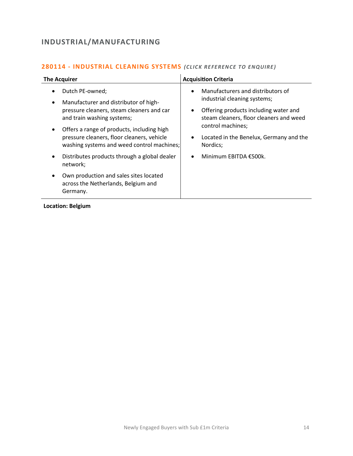# <span id="page-13-0"></span>**INDUSTRIAL/MANUFACTURING**

| <b>The Acquirer</b>                                                                                                                                                                                                                                                                                          | <b>Acquisition Criteria</b>                                                                                                                                                                                                                         |
|--------------------------------------------------------------------------------------------------------------------------------------------------------------------------------------------------------------------------------------------------------------------------------------------------------------|-----------------------------------------------------------------------------------------------------------------------------------------------------------------------------------------------------------------------------------------------------|
| Dutch PE-owned;<br>$\bullet$<br>Manufacturer and distributor of high-<br>$\bullet$<br>pressure cleaners, steam cleaners and car<br>and train washing systems;<br>Offers a range of products, including high<br>٠<br>pressure cleaners, floor cleaners, vehicle<br>washing systems and weed control machines; | Manufacturers and distributors of<br>$\bullet$<br>industrial cleaning systems;<br>Offering products including water and<br>steam cleaners, floor cleaners and weed<br>control machines;<br>Located in the Benelux, Germany and the<br>٠<br>Nordics; |
| Distributes products through a global dealer<br>$\bullet$<br>network;                                                                                                                                                                                                                                        | Minimum EBITDA €500k.                                                                                                                                                                                                                               |
| Own production and sales sites located<br>٠<br>across the Netherlands, Belgium and<br>Germany.                                                                                                                                                                                                               |                                                                                                                                                                                                                                                     |

#### **280114 - [INDUSTRIAL CLEANING SYSTEMS](mailto:poppy.briggs@langcliffeinternational.com?subject=280114%20-%20Industrial%20Cleaning%20Systems)** (CLICK REFERENCE TO ENQUIRE)

#### **Location: Belgium**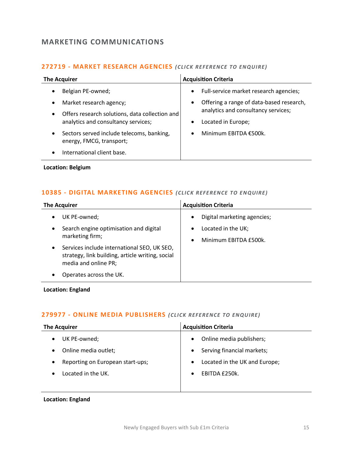# <span id="page-14-0"></span>**MARKETING COMMUNICATIONS**

#### **272719 - [MARKET RESEARCH AGENCIES](mailto:poppy.briggs@langcliffeinternational.com?subject=272719%20-%20Market%20Research%20Agencies)** *(CLICK RE FERENCE TO EN QUIRE)*

| <b>The Acquirer</b>                                                                                                                                                                                                                                                                   | <b>Acquisition Criteria</b>                                                                                                                                                                                                  |
|---------------------------------------------------------------------------------------------------------------------------------------------------------------------------------------------------------------------------------------------------------------------------------------|------------------------------------------------------------------------------------------------------------------------------------------------------------------------------------------------------------------------------|
| Belgian PE-owned;<br>٠<br>Market research agency;<br>$\bullet$<br>Offers research solutions, data collection and<br>٠<br>analytics and consultancy services;<br>Sectors served include telecoms, banking,<br>٠<br>energy, FMCG, transport;<br>International client base.<br>$\bullet$ | Full-service market research agencies;<br>$\bullet$<br>Offering a range of data-based research,<br>$\bullet$<br>analytics and consultancy services;<br>Located in Europe;<br>$\bullet$<br>Minimum EBITDA €500k.<br>$\bullet$ |
|                                                                                                                                                                                                                                                                                       |                                                                                                                                                                                                                              |

**Location: Belgium**

#### 10385 - [DIGITAL MARKETING AGENCIES](mailto:maryia.amrez@langcliffeinternational.com?subject=10385%20-%20Digital%20Marketing%20Agencies) (CLICK REFERENCE TO ENQUIRE)

| <b>The Acquirer</b>                                                                                                                  | <b>Acquisition Criteria</b>                                           |
|--------------------------------------------------------------------------------------------------------------------------------------|-----------------------------------------------------------------------|
| UK PE-owned;<br>$\bullet$                                                                                                            | Digital marketing agencies;<br>$\bullet$                              |
| Search engine optimisation and digital<br>$\bullet$<br>marketing firm;                                                               | Located in the UK;<br>$\bullet$<br>Minimum EBITDA £500k.<br>$\bullet$ |
| Services include international SEO, UK SEO,<br>$\bullet$<br>strategy, link building, article writing, social<br>media and online PR; |                                                                       |
| Operates across the UK.<br>٠                                                                                                         |                                                                       |

**Location: England**

# **279977 - [ONLINE MEDIA PUBLISHERS](mailto:emily.mcdermott@langcliffeinternational.com?subject=279977%20-%20Online%20Media%20Publishers)** *(CLICK REFE RENCE TO EN QUIRE)*

| <b>The Acquirer</b>              | <b>Acquisition Criteria</b>   |
|----------------------------------|-------------------------------|
| UK PE-owned;                     | Online media publishers;      |
| $\bullet$                        | $\bullet$                     |
| Online media outlet;             | Serving financial markets;    |
| $\bullet$                        | $\bullet$                     |
| Reporting on European start-ups; | Located in the UK and Europe; |
| $\bullet$                        | $\bullet$                     |
| Located in the UK.               | EBITDA £250k.<br>$\bullet$    |
|                                  |                               |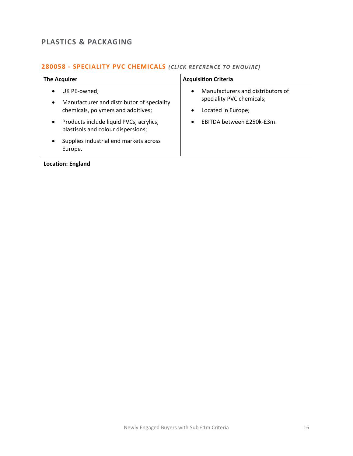# <span id="page-15-0"></span>**PLASTICS & PACKAGING**

#### **280058 - [SPECIALITY PVC CHEMICALS](mailto:millie.maddocks@langcliffeinternational.com?subject=280058%20-%20Speciality%20PVC%20Chemicals)** *(CLICK REFE RENCE TO EN QUIRE)*

| <b>The Acquirer</b>                                                                                           | <b>Acquisition Criteria</b>                                                                                    |
|---------------------------------------------------------------------------------------------------------------|----------------------------------------------------------------------------------------------------------------|
| UK PE-owned;<br>Manufacturer and distributor of speciality<br>$\bullet$<br>chemicals, polymers and additives; | Manufacturers and distributors of<br>$\bullet$<br>speciality PVC chemicals;<br>Located in Europe;<br>$\bullet$ |
| Products include liquid PVCs, acrylics,<br>$\bullet$<br>plastisols and colour dispersions;                    | EBITDA between £250k-£3m.<br>$\bullet$                                                                         |
| Supplies industrial end markets across<br>$\bullet$<br>Europe.                                                |                                                                                                                |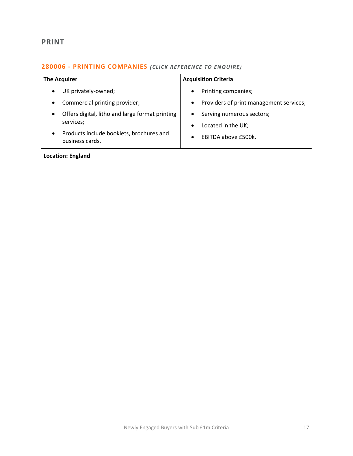# <span id="page-16-0"></span>**PRINT**

### **280006 - [PRINTING COMPANIES](mailto:jack.hutchinson@langcliffeinternational.com?subject=280006%20-%20Printing%20Companies)** *(CLICK RE FERENCE TO EN QUIRE)*

| <b>The Acquirer</b>                                                       | <b>Acquisition Criteria</b>                                               |
|---------------------------------------------------------------------------|---------------------------------------------------------------------------|
| UK privately-owned;<br>$\bullet$                                          | Printing companies;<br>$\bullet$                                          |
| Commercial printing provider;<br>$\bullet$                                | Providers of print management services;<br>$\bullet$                      |
| Offers digital, litho and large format printing<br>$\bullet$<br>services; | Serving numerous sectors;<br>$\bullet$<br>Located in the UK;<br>$\bullet$ |
| Products include booklets, brochures and<br>$\bullet$<br>business cards.  | EBITDA above £500k.<br>$\bullet$                                          |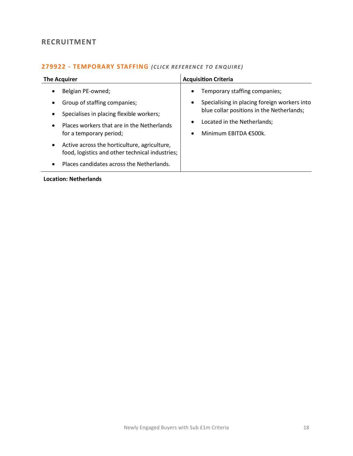# <span id="page-17-0"></span>**RECRUITMENT**

#### **279922 - [TEMPORARY STAFFING](mailto:poppy.briggs@langcliffeinternational.com?subject=279922%20-%20Temporary%20Staffing)** *(CLICK RE FERENCE TO EN QUIRE)*

| <b>The Acquirer</b>                                                                                                                                                                                           | <b>Acquisition Criteria</b>                                                                                                                                                                                            |
|---------------------------------------------------------------------------------------------------------------------------------------------------------------------------------------------------------------|------------------------------------------------------------------------------------------------------------------------------------------------------------------------------------------------------------------------|
| Belgian PE-owned;<br>$\bullet$<br>Group of staffing companies;<br>Specialises in placing flexible workers;<br>$\bullet$<br>Places workers that are in the Netherlands<br>$\bullet$<br>for a temporary period; | Temporary staffing companies;<br>٠<br>Specialising in placing foreign workers into<br>٠<br>blue collar positions in the Netherlands;<br>Located in the Netherlands;<br>$\bullet$<br>Minimum EBITDA €500k.<br>$\bullet$ |
| Active across the horticulture, agriculture,<br>$\bullet$<br>food, logistics and other technical industries;<br>Places candidates across the Netherlands.                                                     |                                                                                                                                                                                                                        |

#### **Location: Netherlands**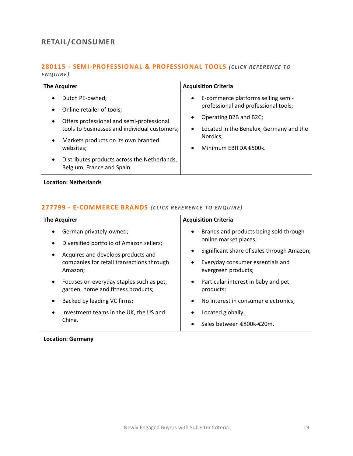# <span id="page-18-0"></span>**RETAIL/CONSUMER**

#### **280115 - [SEMI-PROFESSIONAL & PROFESSIONAL TOOLS](mailto:poppy.briggs@langcliffeinternational.com?subject=280115%20-%20Semi-Professional%20and%20Professional%20Tools)** *(CLICK REFEREN CE TO ENQUIRE )*

| <b>The Acquirer</b>                                                                                                                                                      | <b>Acquisition Criteria</b>                                                                                                      |
|--------------------------------------------------------------------------------------------------------------------------------------------------------------------------|----------------------------------------------------------------------------------------------------------------------------------|
| Dutch PE-owned;<br>$\bullet$<br>Online retailer of tools;<br>$\bullet$                                                                                                   | E-commerce platforms selling semi-<br>$\bullet$<br>professional and professional tools;                                          |
| Offers professional and semi-professional<br>$\bullet$<br>tools to businesses and individual customers;<br>Markets products on its own branded<br>$\bullet$<br>websites; | Operating B2B and B2C;<br>Located in the Benelux, Germany and the<br>$\bullet$<br>Nordics;<br>Minimum EBITDA €500k.<br>$\bullet$ |
| Distributes products across the Netherlands,<br>$\bullet$<br>Belgium, France and Spain.                                                                                  |                                                                                                                                  |

**Location: Netherlands**

#### **277799 - [E-COMMERCE BRANDS](mailto:lauren.parker@langcliffeinternational.com?subject=277799%20-%20E-Commerce%20Brands)** *(CLICK RE FERENCE TO EN QUIRE)*

| <b>The Acquirer</b>                                                                           | <b>Acquisition Criteria</b>                                                  |
|-----------------------------------------------------------------------------------------------|------------------------------------------------------------------------------|
| German privately-owned;<br>$\bullet$<br>Diversified portfolio of Amazon sellers;<br>$\bullet$ | Brands and products being sold through<br>$\bullet$<br>online market places; |
| Acquires and develops products and<br>$\bullet$                                               | Significant share of sales through Amazon;                                   |
| companies for retail transactions through<br>Amazon;                                          | Everyday consumer essentials and<br>evergreen products;                      |
| Focuses on everyday staples such as pet,<br>$\bullet$<br>garden, home and fitness products;   | Particular interest in baby and pet<br>products;                             |
| Backed by leading VC firms;<br>٠                                                              | No interest in consumer electronics;<br>٠                                    |
| Investment teams in the UK, the US and<br>$\bullet$                                           | Located globally;                                                            |
| China.                                                                                        | Sales between €800k-€20m.                                                    |

 $\mathcal{L}$ 

**Location: Germany**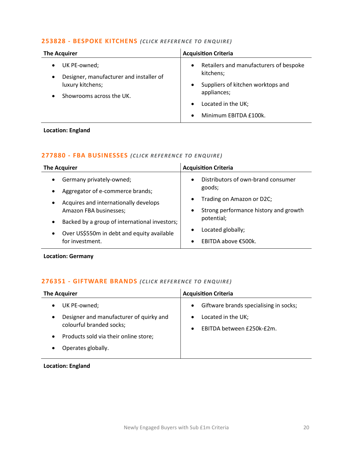#### **253828 - [BESPOKE KITCHENS](mailto:emily.mcdermott@langcliffeinternational.com?subject=253828%20-%20Bespoke%20Kitchens)** *(CLICK RE FERE NCE TO ENQUIRE)*

| <b>The Acquirer</b>                                                                                     | <b>Acquisition Criteria</b>                                                                                                                                         |
|---------------------------------------------------------------------------------------------------------|---------------------------------------------------------------------------------------------------------------------------------------------------------------------|
| UK PE-owned;<br>Designer, manufacturer and installer of<br>luxury kitchens;<br>Showrooms across the UK. | Retailers and manufacturers of bespoke<br>$\bullet$<br>kitchens;<br>Suppliers of kitchen worktops and<br>appliances;<br>Located in the UK;<br>Minimum EBITDA £100k. |

#### **Location: England**

#### **277880 - [FBA BUSINESSES](mailto:lauren.parker@langcliffeinternational.com?subject=277880%20-%20FBA%20Businesses)** *(CLICK REFE RENCE TO EN QUIRE )*

| <b>The Acquirer</b>                                        | <b>Acquisition Criteria</b>                        |
|------------------------------------------------------------|----------------------------------------------------|
| Germany privately-owned;                                   | Distributors of own-brand consumer<br>$\bullet$    |
| Aggregator of e-commerce brands;                           | goods;                                             |
| Acquires and internationally develops<br>$\bullet$         | Trading on Amazon or D2C;<br>$\bullet$             |
| Amazon FBA businesses;                                     | Strong performance history and growth<br>$\bullet$ |
| Backed by a group of international investors;<br>$\bullet$ | potential;                                         |
| Over US\$550m in debt and equity available<br>$\bullet$    | Located globally;                                  |
| for investment.                                            | EBITDA above €500k.                                |
|                                                            |                                                    |

**Location: Germany**

#### **276351 - [GIFTWARE BRANDS](mailto:millie.maddocks@langcliffeinternational.com?subject=276351%20-%20Giftware%20Brands)** *(CLICK RE FERENCE TO ENQUIRE)*

| <b>The Acquirer</b>                                                      | <b>Acquisition Criteria</b>                                  |
|--------------------------------------------------------------------------|--------------------------------------------------------------|
| UK PE-owned;<br>٠                                                        | Giftware brands specialising in socks;<br>$\bullet$          |
| Designer and manufacturer of quirky and<br>٠<br>colourful branded socks; | Located in the UK;<br>EBITDA between £250k-£2m.<br>$\bullet$ |
| Products sold via their online store;                                    |                                                              |
| Operates globally.<br>٠                                                  |                                                              |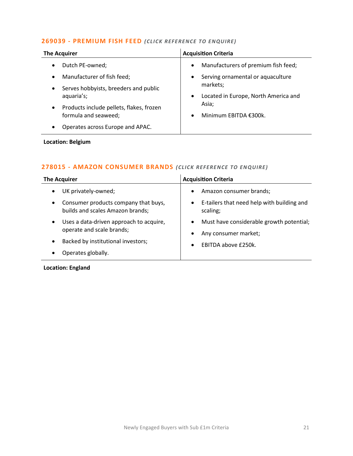#### **269039 - [PREMIUM FISH FEED](mailto:poppy.briggs@langcliffeinternational.com?subject=269039%20-%20Premium%20Fish%20Feed)** *(CLICK REFE RENCE TO EN QUIRE)*

| <b>Acquisition Criteria</b><br><b>The Acquirer</b>                                                                           |                                      |
|------------------------------------------------------------------------------------------------------------------------------|--------------------------------------|
| Dutch PE-owned;<br>$\bullet$<br>$\bullet$                                                                                    | Manufacturers of premium fish feed;  |
| Manufacturer of fish feed;<br>$\bullet$<br>$\bullet$                                                                         | Serving ornamental or aquaculture    |
| markets;<br>Serves hobbyists, breeders and public<br>$\bullet$<br>aquaria's;<br>$\bullet$                                    | Located in Europe, North America and |
| Asia;<br>Products include pellets, flakes, frozen<br>$\bullet$<br>formula and seaweed;<br>Minimum EBITDA €300k.<br>$\bullet$ |                                      |
| Operates across Europe and APAC.<br>٠                                                                                        |                                      |

#### **Location: Belgium**

#### **278015 - [AMAZON CONSUMER BRANDS](mailto:jack.hutchinson@langcliffeinternational.com?subject=278015%20-%20Amazon%20Consumer%20Brands)** (CLICK REFERENCE TO ENQUIRE)

| <b>The Acquirer</b>                                                                   | <b>Acquisition Criteria</b>                                         |
|---------------------------------------------------------------------------------------|---------------------------------------------------------------------|
| UK privately-owned;<br>$\bullet$                                                      | Amazon consumer brands;<br>$\bullet$                                |
| Consumer products company that buys,<br>$\bullet$<br>builds and scales Amazon brands; | E-tailers that need help with building and<br>$\bullet$<br>scaling; |
| Uses a data-driven approach to acquire,<br>$\bullet$<br>operate and scale brands;     | Must have considerable growth potential;<br>$\bullet$               |
|                                                                                       | Any consumer market;                                                |
| Backed by institutional investors;<br>$\bullet$                                       | EBITDA above £250k.<br>$\bullet$                                    |
| Operates globally.<br>٠                                                               |                                                                     |
|                                                                                       |                                                                     |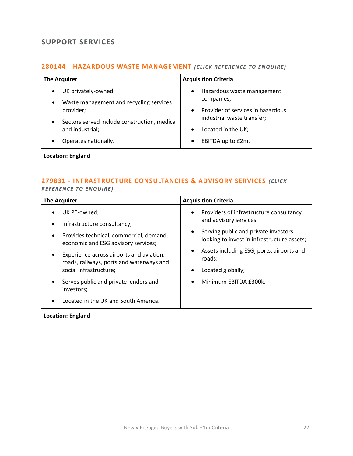# <span id="page-21-0"></span>**SUPPORT SERVICES**

#### **280144 - [HAZARDOUS WASTE MANAGEMENT](mailto:jack.hutchinson@langcliffeinternational.com?subject=280144%20-%20Hazardous%20Waste%20Management)** *(CLICK RE FERENCE TO EN QUIRE)*

| <b>The Acquirer</b>                                                                      | <b>Acquisition Criteria</b>                           |
|------------------------------------------------------------------------------------------|-------------------------------------------------------|
| UK privately-owned;<br>$\bullet$<br>Waste management and recycling services<br>$\bullet$ | Hazardous waste management<br>$\bullet$<br>companies; |
| provider;                                                                                | Provider of services in hazardous<br>$\bullet$        |
| Sectors served include construction, medical<br>$\bullet$                                | industrial waste transfer;                            |
| and industrial;                                                                          | Located in the UK;<br>$\bullet$                       |
| Operates nationally.<br>$\bullet$                                                        | EBITDA up to £2m.<br>$\bullet$                        |

**Location: England**

# **279831 - [INFRASTRUCTURE CONSULTANCIES & ADVISORY SERVICES](mailto:emily.mcdermott@langcliffeinternational.com?subject=279831%20-%20Infrastructure%20Consultancies%20and%20Advisory%20Services)** *(CLICK*

#### *REFEREN CE TO ENQUIRE )*

| <b>The Acquirer</b>                                                                                            | <b>Acquisition Criteria</b>                                                                        |
|----------------------------------------------------------------------------------------------------------------|----------------------------------------------------------------------------------------------------|
| UK PE-owned;                                                                                                   | Providers of infrastructure consultancy<br>$\bullet$<br>and advisory services;                     |
| Infrastructure consultancy;<br>Provides technical, commercial, demand,<br>economic and ESG advisory services;  | Serving public and private investors<br>٠<br>looking to invest in infrastructure assets;           |
| Experience across airports and aviation,<br>roads, railways, ports and waterways and<br>social infrastructure; | Assets including ESG, ports, airports and<br>$\bullet$<br>roads;<br>Located globally;<br>$\bullet$ |
| Serves public and private lenders and<br>investors;                                                            | Minimum EBITDA £300k.<br>$\bullet$                                                                 |
| Located in the UK and South America.                                                                           |                                                                                                    |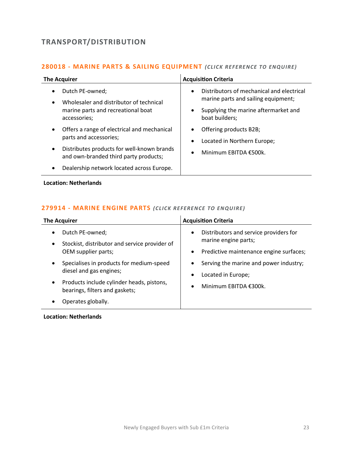# <span id="page-22-0"></span>**TRANSPORT/DISTRIBUTION**

#### **280018 - [MARINE PARTS & SAILING EQUIPMENT](mailto:poppy.briggs@langcliffeinternational.com?subject=280018%20-%20Marine%20Parts%20and%20Sailing%20Equipment)** *(CLICK RE FERE NCE TO ENQUIRE)*

| The Acquirer                                                                                                                                                                                                                                     | <b>Acquisition Criteria</b>                                                                                                                                          |
|--------------------------------------------------------------------------------------------------------------------------------------------------------------------------------------------------------------------------------------------------|----------------------------------------------------------------------------------------------------------------------------------------------------------------------|
| Dutch PE-owned;<br>$\bullet$<br>Wholesaler and distributor of technical<br>$\bullet$<br>marine parts and recreational boat<br>accessories;                                                                                                       | Distributors of mechanical and electrical<br>$\bullet$<br>marine parts and sailing equipment;<br>Supplying the marine aftermarket and<br>$\bullet$<br>boat builders; |
| Offers a range of electrical and mechanical<br>$\bullet$<br>parts and accessories;<br>Distributes products for well-known brands<br>$\bullet$<br>and own-branded third party products;<br>Dealership network located across Europe.<br>$\bullet$ | Offering products B2B;<br>٠<br>Located in Northern Europe;<br>$\bullet$<br>Minimum EBITDA €500k.<br>$\bullet$                                                        |

**Location: Netherlands**

#### **279914 - [MARINE ENGINE PARTS](mailto:poppy.briggs@langcliffeinternational.com?subject=279914%20-%20Marine%20Engine%20Parts)** *(CLICK RE FERENCE TO EN QUIRE)*

| <b>The Acquirer</b>                                                                                               | <b>Acquisition Criteria</b>                                                                                                         |
|-------------------------------------------------------------------------------------------------------------------|-------------------------------------------------------------------------------------------------------------------------------------|
| Dutch PE-owned;<br>$\bullet$<br>Stockist, distributor and service provider of<br>$\bullet$<br>OEM supplier parts; | Distributors and service providers for<br>$\bullet$<br>marine engine parts;<br>Predictive maintenance engine surfaces;<br>$\bullet$ |
| Specialises in products for medium-speed<br>$\bullet$<br>diesel and gas engines;                                  | Serving the marine and power industry;<br>٠<br>Located in Europe;<br>$\bullet$                                                      |
| Products include cylinder heads, pistons,<br>$\bullet$<br>bearings, filters and gaskets;                          | Minimum EBITDA €300k.<br>$\bullet$                                                                                                  |
| Operates globally.                                                                                                |                                                                                                                                     |

**Location: Netherlands**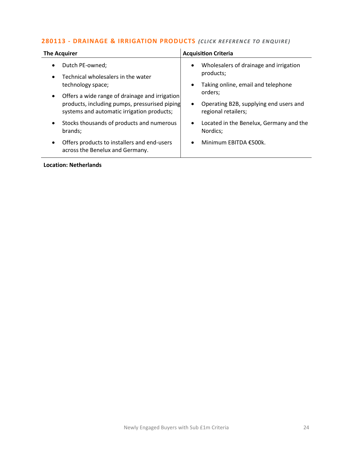#### **280113 - [DRAINAGE & IRRIGATION PRODUCTS](mailto:poppy.briggs@langcliffeinternational.com?subject=280113%20-%20Drainage%20and%20Irrigation%20Products)** (CLICK REFERENCE TO ENQUIRE)

| <b>The Acquirer</b>                                                                                                                                                                                                                      | <b>Acquisition Criteria</b>                                                                                                                                                                                  |
|------------------------------------------------------------------------------------------------------------------------------------------------------------------------------------------------------------------------------------------|--------------------------------------------------------------------------------------------------------------------------------------------------------------------------------------------------------------|
| Dutch PE-owned;<br>$\bullet$<br>Technical wholesalers in the water<br>technology space;<br>Offers a wide range of drainage and irrigation<br>products, including pumps, pressurised piping<br>systems and automatic irrigation products; | Wholesalers of drainage and irrigation<br>$\bullet$<br>products;<br>Taking online, email and telephone<br>$\bullet$<br>orders;<br>Operating B2B, supplying end users and<br>$\bullet$<br>regional retailers; |
| Stocks thousands of products and numerous<br>$\bullet$<br>brands;<br>Offers products to installers and end-users<br>$\bullet$<br>across the Benelux and Germany.                                                                         | Located in the Benelux, Germany and the<br>$\bullet$<br>Nordics;<br>Minimum EBITDA €500k.                                                                                                                    |
| <b>Location: Netherlands</b>                                                                                                                                                                                                             |                                                                                                                                                                                                              |